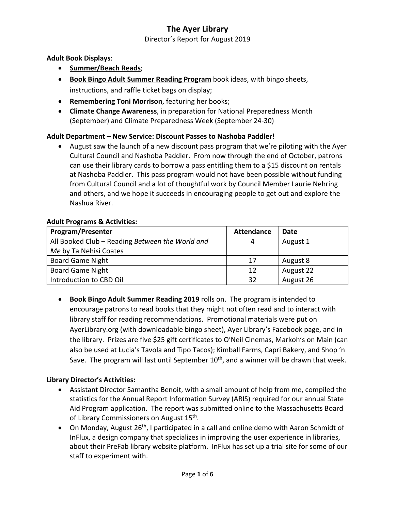Director's Report for August 2019

#### **Adult Book Displays**:

- **Summer/Beach Reads**;
- **Book Bingo Adult Summer Reading Program** book ideas, with bingo sheets, instructions, and raffle ticket bags on display;
- **Remembering Toni Morrison**, featuring her books;
- **Climate Change Awareness**, in preparation for National Preparedness Month (September) and Climate Preparedness Week (September 24-30)

## **Adult Department – New Service: Discount Passes to Nashoba Paddler!**

• August saw the launch of a new discount pass program that we're piloting with the Ayer Cultural Council and Nashoba Paddler. From now through the end of October, patrons can use their library cards to borrow a pass entitling them to a \$15 discount on rentals at Nashoba Paddler. This pass program would not have been possible without funding from Cultural Council and a lot of thoughtful work by Council Member Laurie Nehring and others, and we hope it succeeds in encouraging people to get out and explore the Nashua River.

#### **Adult Programs & Activities:**

| <b>Program/Presenter</b>                        | <b>Attendance</b> | Date      |
|-------------------------------------------------|-------------------|-----------|
| All Booked Club - Reading Between the World and | Δ                 | August 1  |
| Me by Ta Nehisi Coates                          |                   |           |
| <b>Board Game Night</b>                         | 17                | August 8  |
| <b>Board Game Night</b>                         | 12                | August 22 |
| Introduction to CBD Oil                         | 32                | August 26 |

• **Book Bingo Adult Summer Reading 2019** rolls on. The program is intended to encourage patrons to read books that they might not often read and to interact with library staff for reading recommendations. Promotional materials were put on AyerLibrary.org (with downloadable bingo sheet), Ayer Library's Facebook page, and in the library. Prizes are five \$25 gift certificates to O'Neil Cinemas, Markoh's on Main (can also be used at Lucia's Tavola and Tipo Tacos); Kimball Farms, Capri Bakery, and Shop 'n Save. The program will last until September 10<sup>th</sup>, and a winner will be drawn that week.

#### **Library Director's Activities:**

- Assistant Director Samantha Benoit, with a small amount of help from me, compiled the statistics for the Annual Report Information Survey (ARIS) required for our annual State Aid Program application. The report was submitted online to the Massachusetts Board of Library Commissioners on August 15<sup>th</sup>.
- On Monday, August  $26<sup>th</sup>$ , I participated in a call and online demo with Aaron Schmidt of InFlux, a design company that specializes in improving the user experience in libraries, about their PreFab library website platform. InFlux has set up a trial site for some of our staff to experiment with.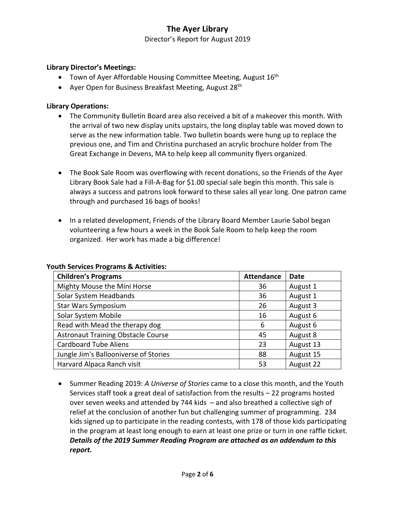Director's Report for August 2019

#### **Library Director's Meetings:**

- Town of Ayer Affordable Housing Committee Meeting, August  $16<sup>th</sup>$
- Ayer Open for Business Breakfast Meeting, August 28<sup>th</sup>

#### **Library Operations:**

- The Community Bulletin Board area also received a bit of a makeover this month. With the arrival of two new display units upstairs, the long display table was moved down to serve as the new information table. Two bulletin boards were hung up to replace the previous one, and Tim and Christina purchased an acrylic brochure holder from The Great Exchange in Devens, MA to help keep all community flyers organized.
- The Book Sale Room was overflowing with recent donations, so the Friends of the Ayer Library Book Sale had a Fill-A-Bag for \$1.00 special sale begin this month. This sale is always a success and patrons look forward to these sales all year long. One patron came through and purchased 16 bags of books!
- In a related development, Friends of the Library Board Member Laurie Sabol began volunteering a few hours a week in the Book Sale Room to help keep the room organized. Her work has made a big difference!

| <b>Children's Programs</b>                | <b>Attendance</b> | <b>Date</b> |
|-------------------------------------------|-------------------|-------------|
| Mighty Mouse the Mini Horse               | 36                | August 1    |
| Solar System Headbands                    | 36                | August 1    |
| <b>Star Wars Symposium</b>                | 26                | August 3    |
| Solar System Mobile                       | 16                | August 6    |
| Read with Mead the therapy dog            | 6                 | August 6    |
| <b>Astronaut Training Obstacle Course</b> | 45                | August 8    |
| <b>Cardboard Tube Aliens</b>              | 23                | August 13   |
| Jungle Jim's Ballooniverse of Stories     | 88                | August 15   |
| Harvard Alpaca Ranch visit                | 53                | August 22   |

#### **Youth Services Programs & Activities:**

• Summer Reading 2019: *A Universe of Stories* came to a close this month, and the Youth Services staff took a great deal of satisfaction from the results – 22 programs hosted over seven weeks and attended by 744 kids – and also breathed a collective sigh of relief at the conclusion of another fun but challenging summer of programming. 234 kids signed up to participate in the reading contests, with 178 of those kids participating in the program at least long enough to earn at least one prize or turn in one raffle ticket. *Details of the 2019 Summer Reading Program are attached as an addendum to this report.*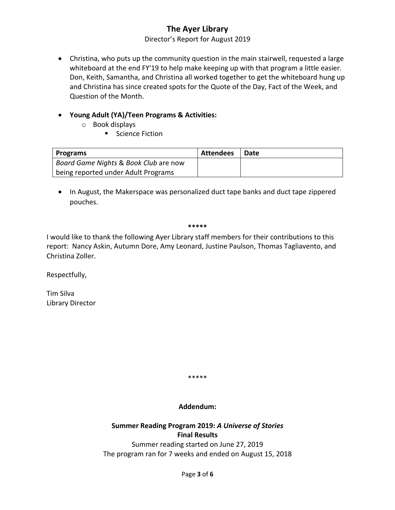Director's Report for August 2019

• Christina, who puts up the community question in the main stairwell, requested a large whiteboard at the end FY'19 to help make keeping up with that program a little easier. Don, Keith, Samantha, and Christina all worked together to get the whiteboard hung up and Christina has since created spots for the Quote of the Day, Fact of the Week, and Question of the Month.

## • **Young Adult (YA)/Teen Programs & Activities:**

- o Book displays
	- Science Fiction

| Programs                              | <b>Attendees</b> | Date |
|---------------------------------------|------------------|------|
| Board Game Nights & Book Club are now |                  |      |
| being reported under Adult Programs   |                  |      |

• In August, the Makerspace was personalized duct tape banks and duct tape zippered pouches.

#### **\*\*\*\*\***

I would like to thank the following Ayer Library staff members for their contributions to this report: Nancy Askin, Autumn Dore, Amy Leonard, Justine Paulson, Thomas Tagliavento, and Christina Zoller.

Respectfully,

Tim Silva Library Director

\*\*\*\*\*

#### **Addendum:**

## **Summer Reading Program 2019:** *A Universe of Stories* **Final Results**

Summer reading started on June 27, 2019 The program ran for 7 weeks and ended on August 15, 2018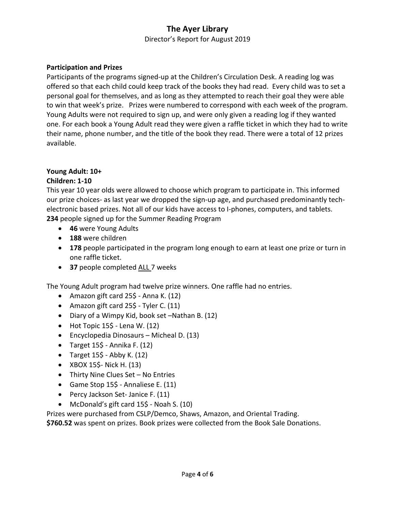Director's Report for August 2019

#### **Participation and Prizes**

Participants of the programs signed-up at the Children's Circulation Desk. A reading log was offered so that each child could keep track of the books they had read. Every child was to set a personal goal for themselves, and as long as they attempted to reach their goal they were able to win that week's prize. Prizes were numbered to correspond with each week of the program. Young Adults were not required to sign up, and were only given a reading log if they wanted one. For each book a Young Adult read they were given a raffle ticket in which they had to write their name, phone number, and the title of the book they read. There were a total of 12 prizes available.

## **Young Adult: 10+**

#### **Children: 1-10**

This year 10 year olds were allowed to choose which program to participate in. This informed our prize choices- as last year we dropped the sign-up age, and purchased predominantly techelectronic based prizes. Not all of our kids have access to I-phones, computers, and tablets. **234** people signed up for the Summer Reading Program

- **46** were Young Adults
- **188** were children
- **178** people participated in the program long enough to earn at least one prize or turn in one raffle ticket.
- **37** people completed ALL 7 weeks

The Young Adult program had twelve prize winners. One raffle had no entries.

- Amazon gift card 25\$ Anna K. (12)
- Amazon gift card 25\$ Tyler C. (11)
- Diary of a Wimpy Kid, book set –Nathan B. (12)
- $\bullet$  Hot Topic 15\$ Lena W. (12)
- Encyclopedia Dinosaurs Micheal D. (13)
- Target  $15\overline{5}$  Annika F. (12)
- Target  $15\frac{5}{7}$  Abby K. (12)
- XBOX 15\$- Nick H. (13)
- Thirty Nine Clues Set No Entries
- Game Stop 15\$ Annaliese E. (11)
- Percy Jackson Set- Janice F. (11)
- McDonald's gift card 15\$ Noah S. (10)

Prizes were purchased from CSLP/Demco, Shaws, Amazon, and Oriental Trading. **\$760.52** was spent on prizes. Book prizes were collected from the Book Sale Donations.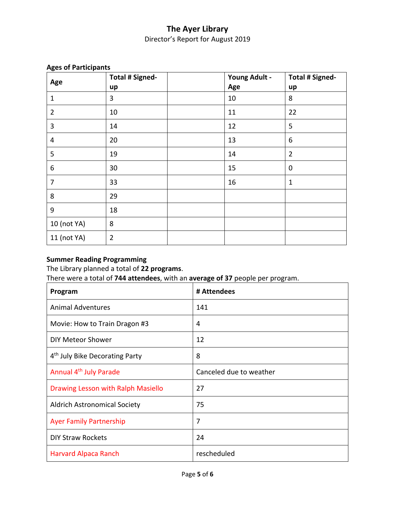## **The Ayer Library** Director's Report for August 2019

| Age            | <b>Total # Signed-</b> | <b>Young Adult -</b> | <b>Total # Signed-</b> |
|----------------|------------------------|----------------------|------------------------|
|                | up                     | Age                  | up                     |
| $\mathbf 1$    | 3                      | 10                   | 8                      |
| $\overline{2}$ | 10                     | 11                   | 22                     |
| 3              | 14                     | 12                   | 5                      |
| $\overline{4}$ | 20                     | 13                   | 6                      |
| 5              | 19                     | 14                   | $\overline{2}$         |
| 6              | 30                     | 15                   | $\mathbf 0$            |
| $\overline{7}$ | 33                     | 16                   | $\mathbf{1}$           |
| 8              | 29                     |                      |                        |
| 9              | 18                     |                      |                        |
| 10 (not YA)    | 8                      |                      |                        |
| 11 (not YA)    | $\overline{2}$         |                      |                        |

#### **Ages of Participants**

## **Summer Reading Programming**

The Library planned a total of **22 programs**.

There were a total of **744 attendees**, with an **average of 37** people per program.

| Program                                    | # Attendees             |
|--------------------------------------------|-------------------------|
| <b>Animal Adventures</b>                   | 141                     |
| Movie: How to Train Dragon #3              | 4                       |
| <b>DIY Meteor Shower</b>                   | 12                      |
| 4 <sup>th</sup> July Bike Decorating Party | 8                       |
| Annual 4 <sup>th</sup> July Parade         | Canceled due to weather |
| Drawing Lesson with Ralph Masiello         | 27                      |
| <b>Aldrich Astronomical Society</b>        | 75                      |
| <b>Ayer Family Partnership</b>             | 7                       |
| <b>DIY Straw Rockets</b>                   | 24                      |
| <b>Harvard Alpaca Ranch</b>                | rescheduled             |